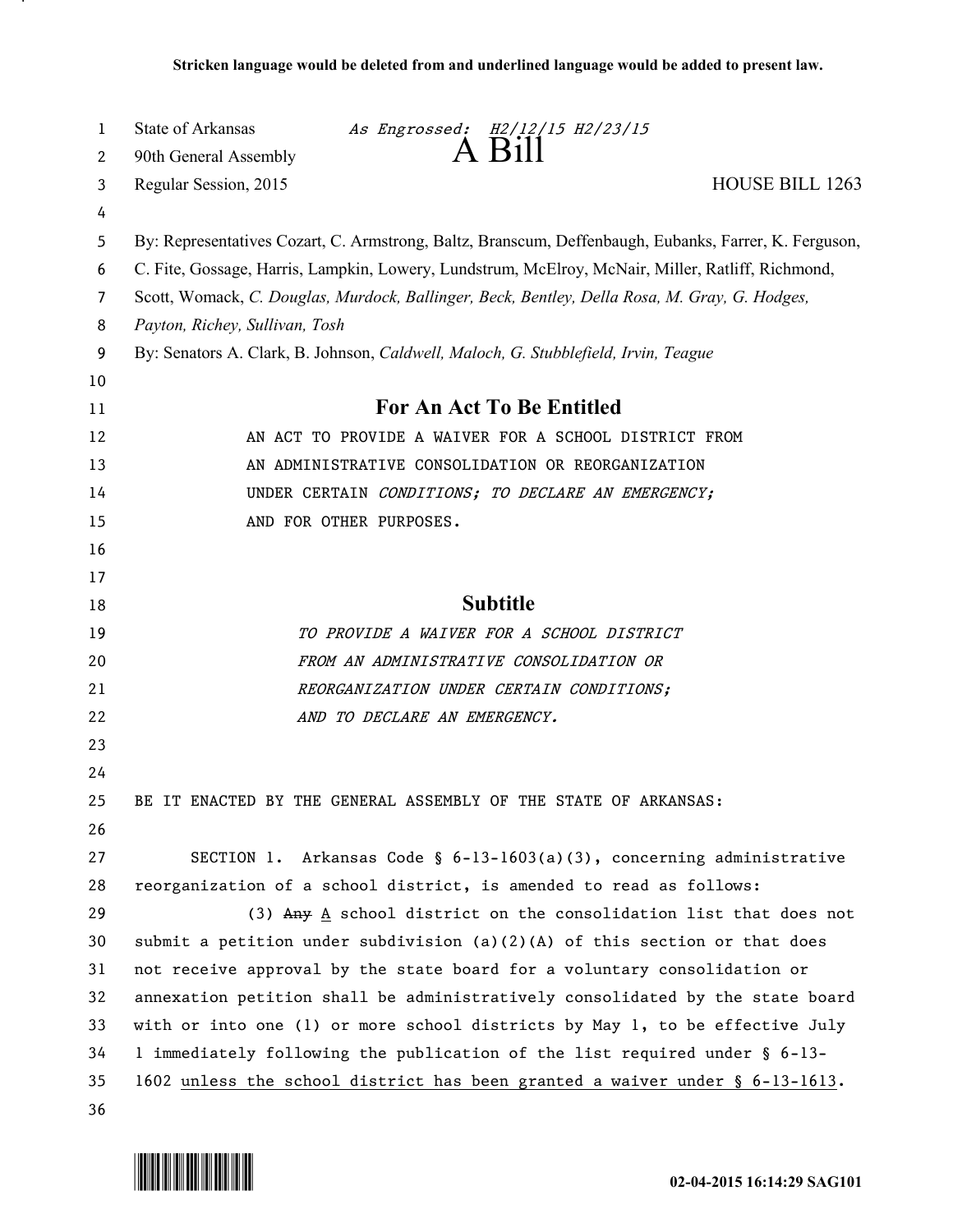| 1  | State of Arkansas                                                                                     |                              | As Engrossed: H2/12/15 H2/23/15                                                 |                 |  |
|----|-------------------------------------------------------------------------------------------------------|------------------------------|---------------------------------------------------------------------------------|-----------------|--|
| 2  | 90th General Assembly                                                                                 |                              | $A$ $B1$                                                                        |                 |  |
| 3  | Regular Session, 2015                                                                                 |                              |                                                                                 | HOUSE BILL 1263 |  |
| 4  |                                                                                                       |                              |                                                                                 |                 |  |
| 5  | By: Representatives Cozart, C. Armstrong, Baltz, Branscum, Deffenbaugh, Eubanks, Farrer, K. Ferguson, |                              |                                                                                 |                 |  |
| 6  | C. Fite, Gossage, Harris, Lampkin, Lowery, Lundstrum, McElroy, McNair, Miller, Ratliff, Richmond,     |                              |                                                                                 |                 |  |
| 7  | Scott, Womack, C. Douglas, Murdock, Ballinger, Beck, Bentley, Della Rosa, M. Gray, G. Hodges,         |                              |                                                                                 |                 |  |
| 8  | Payton, Richey, Sullivan, Tosh                                                                        |                              |                                                                                 |                 |  |
| 9  | By: Senators A. Clark, B. Johnson, Caldwell, Maloch, G. Stubblefield, Irvin, Teague                   |                              |                                                                                 |                 |  |
| 10 |                                                                                                       |                              |                                                                                 |                 |  |
| 11 | <b>For An Act To Be Entitled</b>                                                                      |                              |                                                                                 |                 |  |
| 12 | AN ACT TO PROVIDE A WAIVER FOR A SCHOOL DISTRICT FROM                                                 |                              |                                                                                 |                 |  |
| 13 |                                                                                                       |                              | AN ADMINISTRATIVE CONSOLIDATION OR REORGANIZATION                               |                 |  |
| 14 |                                                                                                       |                              | UNDER CERTAIN CONDITIONS; TO DECLARE AN EMERGENCY;                              |                 |  |
| 15 |                                                                                                       | AND FOR OTHER PURPOSES.      |                                                                                 |                 |  |
| 16 |                                                                                                       |                              |                                                                                 |                 |  |
| 17 |                                                                                                       |                              |                                                                                 |                 |  |
| 18 |                                                                                                       |                              | <b>Subtitle</b>                                                                 |                 |  |
| 19 |                                                                                                       |                              | TO PROVIDE A WAIVER FOR A SCHOOL DISTRICT                                       |                 |  |
| 20 |                                                                                                       |                              | FROM AN ADMINISTRATIVE CONSOLIDATION OR                                         |                 |  |
| 21 |                                                                                                       |                              | REORGANIZATION UNDER CERTAIN CONDITIONS;                                        |                 |  |
| 22 |                                                                                                       | AND TO DECLARE AN EMERGENCY. |                                                                                 |                 |  |
| 23 |                                                                                                       |                              |                                                                                 |                 |  |
| 24 |                                                                                                       |                              |                                                                                 |                 |  |
| 25 | BE IT ENACTED BY THE GENERAL ASSEMBLY OF THE STATE OF ARKANSAS:                                       |                              |                                                                                 |                 |  |
| 26 |                                                                                                       |                              |                                                                                 |                 |  |
| 27 |                                                                                                       |                              | SECTION 1. Arkansas Code § $6-13-1603(a)(3)$ , concerning administrative        |                 |  |
| 28 | reorganization of a school district, is amended to read as follows:                                   |                              |                                                                                 |                 |  |
| 29 |                                                                                                       |                              | (3) Any $\underline{A}$ school district on the consolidation list that does not |                 |  |
| 30 | submit a petition under subdivision $(a)(2)(A)$ of this section or that does                          |                              |                                                                                 |                 |  |
| 31 | not receive approval by the state board for a voluntary consolidation or                              |                              |                                                                                 |                 |  |
| 32 | annexation petition shall be administratively consolidated by the state board                         |                              |                                                                                 |                 |  |
| 33 | with or into one (1) or more school districts by May 1, to be effective July                          |                              |                                                                                 |                 |  |
| 34 | 1 immediately following the publication of the list required under § 6-13-                            |                              |                                                                                 |                 |  |
| 35 | 1602 unless the school district has been granted a waiver under $\S$ 6-13-1613.                       |                              |                                                                                 |                 |  |
| 36 |                                                                                                       |                              |                                                                                 |                 |  |



.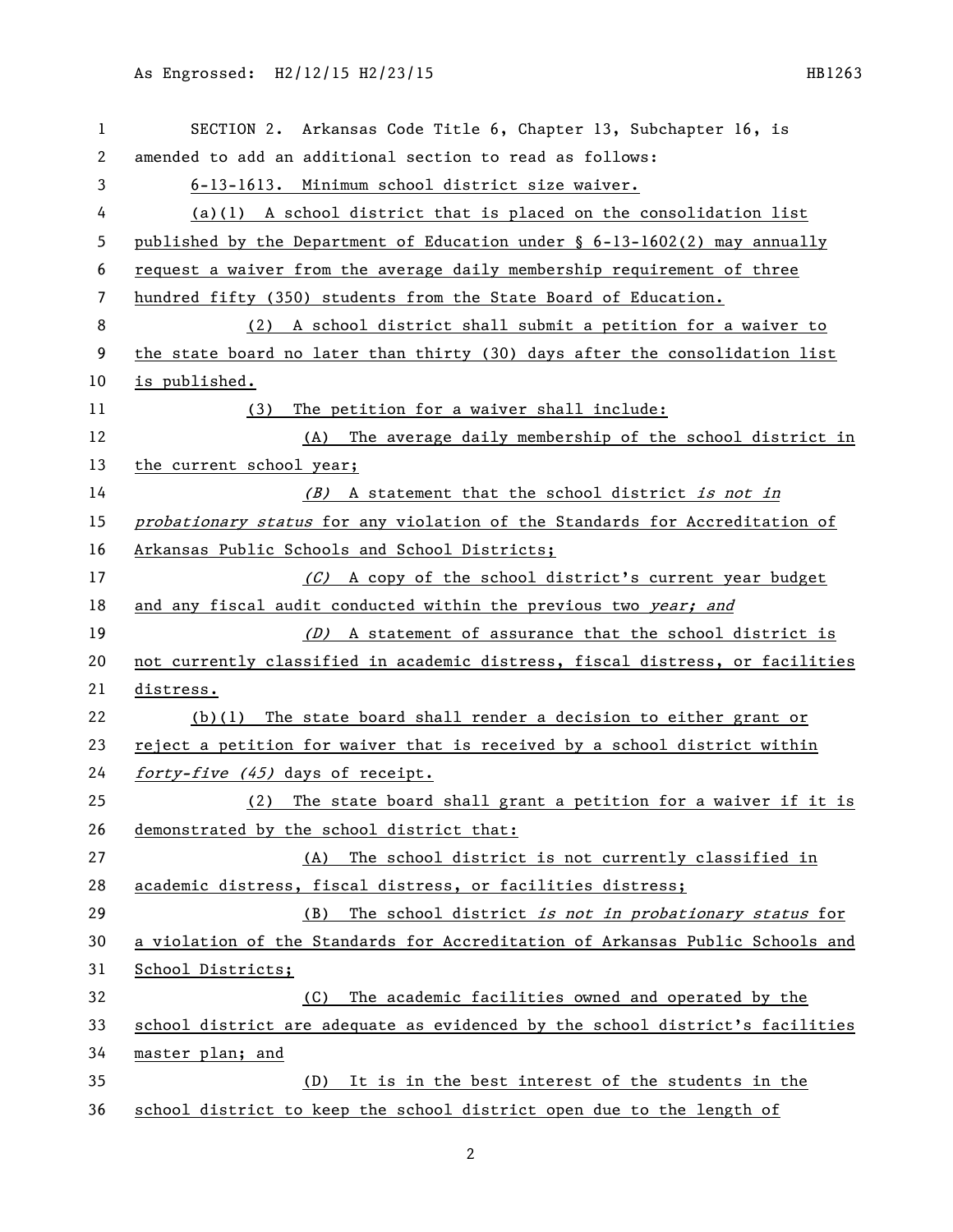| 1  | SECTION 2. Arkansas Code Title 6, Chapter 13, Subchapter 16, is               |
|----|-------------------------------------------------------------------------------|
| 2  | amended to add an additional section to read as follows:                      |
| 3  | 6-13-1613. Minimum school district size waiver.                               |
| 4  | $(a)(1)$ A school district that is placed on the consolidation list           |
| 5  | published by the Department of Education under $\S$ 6-13-1602(2) may annually |
| 6  | request a waiver from the average daily membership requirement of three       |
| 7  | hundred fifty (350) students from the State Board of Education.               |
| 8  | (2) A school district shall submit a petition for a waiver to                 |
| 9  | the state board no later than thirty (30) days after the consolidation list   |
| 10 | is published.                                                                 |
| 11 | The petition for a waiver shall include:<br>(3)                               |
| 12 | The average daily membership of the school district in<br>(A)                 |
| 13 | the current school year;                                                      |
| 14 | (B) A statement that the school district is not in                            |
| 15 | probationary status for any violation of the Standards for Accreditation of   |
| 16 | Arkansas Public Schools and School Districts;                                 |
| 17 | (C) A copy of the school district's current year budget                       |
| 18 | and any fiscal audit conducted within the previous two year; and              |
| 19 | (D) A statement of assurance that the school district is                      |
| 20 | not currently classified in academic distress, fiscal distress, or facilities |
| 21 | distress.                                                                     |
| 22 | $(b)(1)$ The state board shall render a decision to either grant or           |
| 23 | reject a petition for waiver that is received by a school district within     |
| 24 | forty-five (45) days of receipt.                                              |
| 25 | The state board shall grant a petition for a waiver if it is<br>(2)           |
| 26 | demonstrated by the school district that:                                     |
| 27 | The school district is not currently classified in<br>(A)                     |
| 28 | academic distress, fiscal distress, or facilities distress;                   |
| 29 | The school district is not in probationary status for<br>(B)                  |
| 30 | a violation of the Standards for Accreditation of Arkansas Public Schools and |
| 31 | School Districts;                                                             |
| 32 | The academic facilities owned and operated by the<br>(C)                      |
| 33 | school district are adequate as evidenced by the school district's facilities |
| 34 | master plan; and                                                              |
| 35 | It is in the best interest of the students in the<br>(D)                      |
| 36 | school district to keep the school district open due to the length of         |